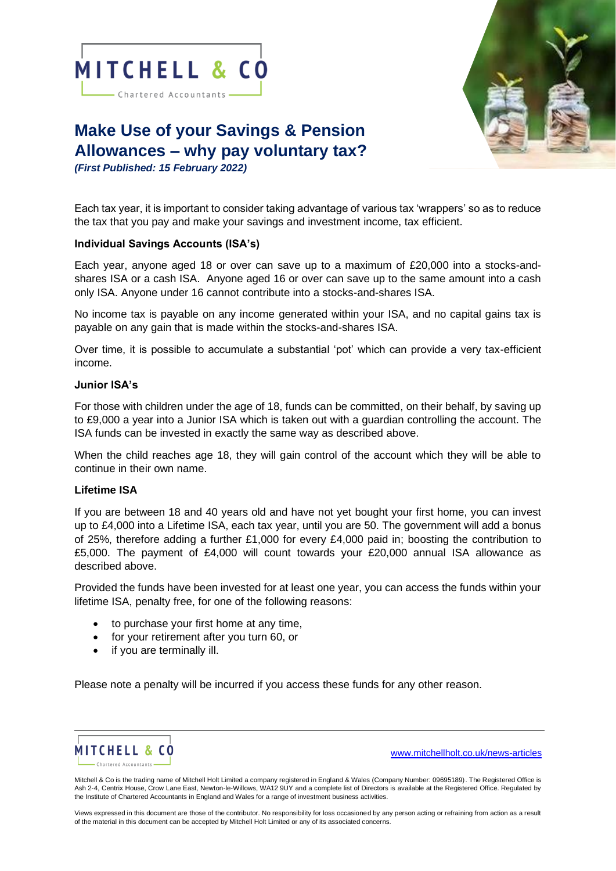

- Chartered Accountants -



# **Make Use of your Savings & Pension Allowances – why pay voluntary tax?**

*(First Published: 15 February 2022)* 

Each tax year, it is important to consider taking advantage of various tax 'wrappers' so as to reduce the tax that you pay and make your savings and investment income, tax efficient.

# **Individual Savings Accounts (ISA's)**

Each year, anyone aged 18 or over can save up to a maximum of £20,000 into a stocks-andshares ISA or a cash ISA. Anyone aged 16 or over can save up to the same amount into a cash only ISA. Anyone under 16 cannot contribute into a stocks-and-shares ISA.

No income tax is payable on any income generated within your ISA, and no capital gains tax is payable on any gain that is made within the stocks-and-shares ISA.

Over time, it is possible to accumulate a substantial 'pot' which can provide a very tax-efficient income.

## **Junior ISA's**

For those with children under the age of 18, funds can be committed, on their behalf, by saving up to £9,000 a year into a Junior ISA which is taken out with a guardian controlling the account. The ISA funds can be invested in exactly the same way as described above.

When the child reaches age 18, they will gain control of the account which they will be able to continue in their own name.

## **Lifetime ISA**

If you are between 18 and 40 years old and have not yet bought your first home, you can invest up to £4,000 into a Lifetime ISA, each tax year, until you are 50. The government will add a bonus of 25%, therefore adding a further £1,000 for every £4,000 paid in; boosting the contribution to £5,000. The payment of £4,000 will count towards your £20,000 annual ISA allowance as described above.

Provided the funds have been invested for at least one year, you can access the funds within your lifetime ISA, penalty free, for one of the following reasons:

- to purchase your first home at any time,
- for your retirement after you turn 60, or
- if you are terminally ill.

Please note a penalty will be incurred if you access these funds for any other reason.



[www.mitchellholt.co.uk/news-articles](http://www.mitchellholt.co.uk/news-articles)

Mitchell & Co is the trading name of Mitchell Holt Limited a company registered in England & Wales (Company Number: 09695189). The Registered Office is Ash 2-4, Centrix House, Crow Lane East, Newton-le-Willows, WA12 9UY and a complete list of Directors is available at the Registered Office. Regulated by the Institute of Chartered Accountants in England and Wales for a range of investment business activities.

Views expressed in this document are those of the contributor. No responsibility for loss occasioned by any person acting or refraining from action as a result of the material in this document can be accepted by Mitchell Holt Limited or any of its associated concerns.